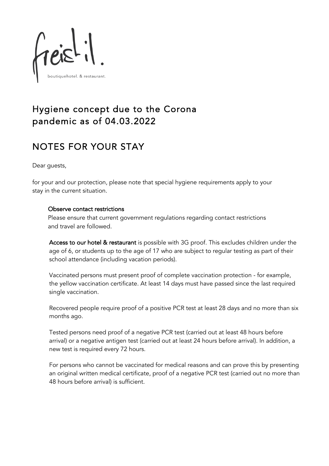

## Hygiene concept due to the Corona pandemic as of 04.03.2022

# NOTES FOR YOUR STAY

Dear guests,

for your and our protection, please note that special hygiene requirements apply to your stay in the current situation.

### Observe contact restrictions

Please ensure that current government regulations regarding contact restrictions and travel are followed.

Access to our hotel & restaurant is possible with 3G proof. This excludes children under the age of 6, or students up to the age of 17 who are subject to regular testing as part of their school attendance (including vacation periods).

Vaccinated persons must present proof of complete vaccination protection - for example, the yellow vaccination certificate. At least 14 days must have passed since the last required single vaccination.

Recovered people require proof of a positive PCR test at least 28 days and no more than six months ago.

Tested persons need proof of a negative PCR test (carried out at least 48 hours before arrival) or a negative antigen test (carried out at least 24 hours before arrival). In addition, a new test is required every 72 hours.

For persons who cannot be vaccinated for medical reasons and can prove this by presenting an original written medical certificate, proof of a negative PCR test (carried out no more than 48 hours before arrival) is sufficient.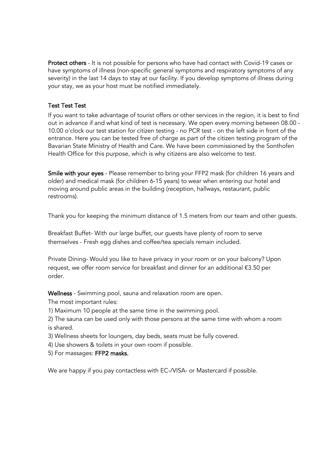Protect others - It is not possible for persons who have had contact with Covid-19 cases or have symptoms of illness (non-specific general symptoms and respiratory symptoms of any severity) in the last 14 days to stay at our facility. If you develop symptoms of illness during your stay, we as your host must be notified immediately.

### Test Test Test

If you want to take advantage of tourist offers or other services in the region, it is best to find out in advance if and what kind of test is necessary. We open every morning between 08.00 - 10.00 o'clock our test station for citizen testing - no PCR test - on the left side in front of the entrance. Here you can be tested free of charge as part of the citizen testing program of the Bavarian State Ministry of Health and Care. We have been commissioned by the Sonthofen Health Office for this purpose, which is why citizens are also welcome to test.

Smile with your eyes - Please remember to bring your FFP2 mask (for children 16 years and older) and medical mask (for children 6-15 years) to wear when entering our hotel and moving around public areas in the building (reception, hallways, restaurant, public restrooms).

Thank you for keeping the minimum distance of 1.5 meters from our team and other guests.

Breakfast Buffet- With our large buffet, our guests have plenty of room to serve themselves - Fresh egg dishes and coffee/tea specials remain included.

Private Dining- Would you like to have privacy in your room or on your balcony? Upon request, we offer room service for breakfast and dinner for an additional €3.50 per order.

Wellness - Swimming pool, sauna and relaxation room are open.

The most important rules:

1) Maximum 10 people at the same time in the swimming pool.

2) The sauna can be used only with those persons at the same time with whom a room is shared.

3) Wellness sheets for loungers, day beds, seats must be fully covered.

4) Use showers & toilets in your own room if possible.

5) For massages: FFP2 masks.

We are happy if you pay contactless with EC-/VISA- or Mastercard if possible.